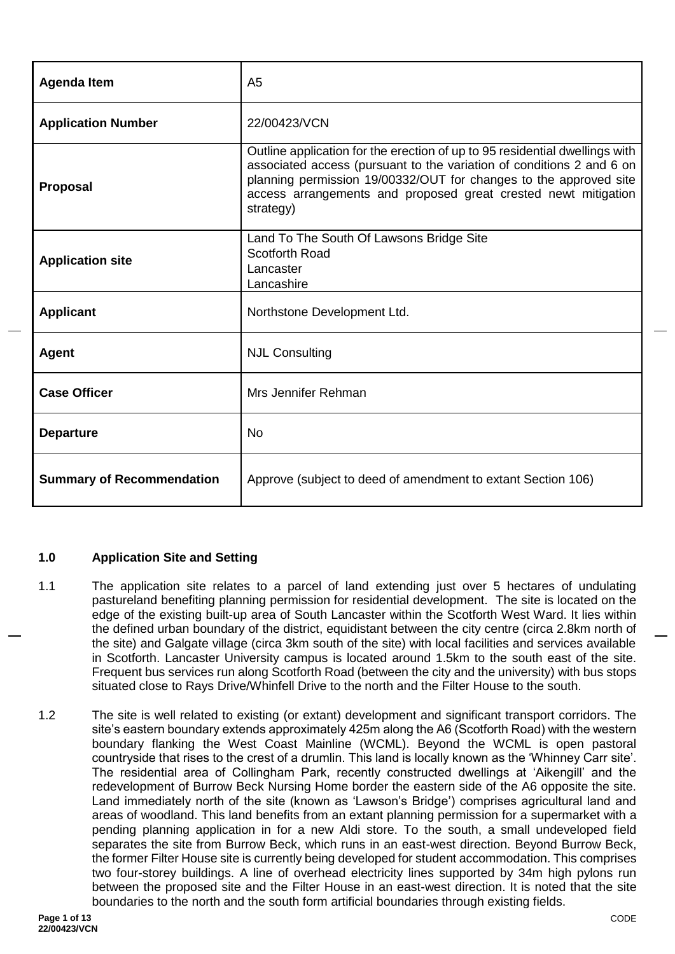| <b>Agenda Item</b>               | A <sub>5</sub>                                                                                                                                                                                                                                                                                           |
|----------------------------------|----------------------------------------------------------------------------------------------------------------------------------------------------------------------------------------------------------------------------------------------------------------------------------------------------------|
| <b>Application Number</b>        | 22/00423/VCN                                                                                                                                                                                                                                                                                             |
| <b>Proposal</b>                  | Outline application for the erection of up to 95 residential dwellings with<br>associated access (pursuant to the variation of conditions 2 and 6 on<br>planning permission 19/00332/OUT for changes to the approved site<br>access arrangements and proposed great crested newt mitigation<br>strategy) |
| <b>Application site</b>          | Land To The South Of Lawsons Bridge Site<br>Scotforth Road<br>Lancaster<br>Lancashire                                                                                                                                                                                                                    |
| <b>Applicant</b>                 | Northstone Development Ltd.                                                                                                                                                                                                                                                                              |
| <b>Agent</b>                     | <b>NJL Consulting</b>                                                                                                                                                                                                                                                                                    |
| <b>Case Officer</b>              | Mrs Jennifer Rehman                                                                                                                                                                                                                                                                                      |
| <b>Departure</b>                 | <b>No</b>                                                                                                                                                                                                                                                                                                |
| <b>Summary of Recommendation</b> | Approve (subject to deed of amendment to extant Section 106)                                                                                                                                                                                                                                             |

# **1.0 Application Site and Setting**

- 1.1 The application site relates to a parcel of land extending just over 5 hectares of undulating pastureland benefiting planning permission for residential development. The site is located on the edge of the existing built-up area of South Lancaster within the Scotforth West Ward. It lies within the defined urban boundary of the district, equidistant between the city centre (circa 2.8km north of the site) and Galgate village (circa 3km south of the site) with local facilities and services available in Scotforth. Lancaster University campus is located around 1.5km to the south east of the site. Frequent bus services run along Scotforth Road (between the city and the university) with bus stops situated close to Rays Drive/Whinfell Drive to the north and the Filter House to the south.
- 1.2 The site is well related to existing (or extant) development and significant transport corridors. The site's eastern boundary extends approximately 425m along the A6 (Scotforth Road) with the western boundary flanking the West Coast Mainline (WCML). Beyond the WCML is open pastoral countryside that rises to the crest of a drumlin. This land is locally known as the 'Whinney Carr site'. The residential area of Collingham Park, recently constructed dwellings at 'Aikengill' and the redevelopment of Burrow Beck Nursing Home border the eastern side of the A6 opposite the site. Land immediately north of the site (known as 'Lawson's Bridge') comprises agricultural land and areas of woodland. This land benefits from an extant planning permission for a supermarket with a pending planning application in for a new Aldi store. To the south, a small undeveloped field separates the site from Burrow Beck, which runs in an east-west direction. Beyond Burrow Beck, the former Filter House site is currently being developed for student accommodation. This comprises two four-storey buildings. A line of overhead electricity lines supported by 34m high pylons run between the proposed site and the Filter House in an east-west direction. It is noted that the site boundaries to the north and the south form artificial boundaries through existing fields.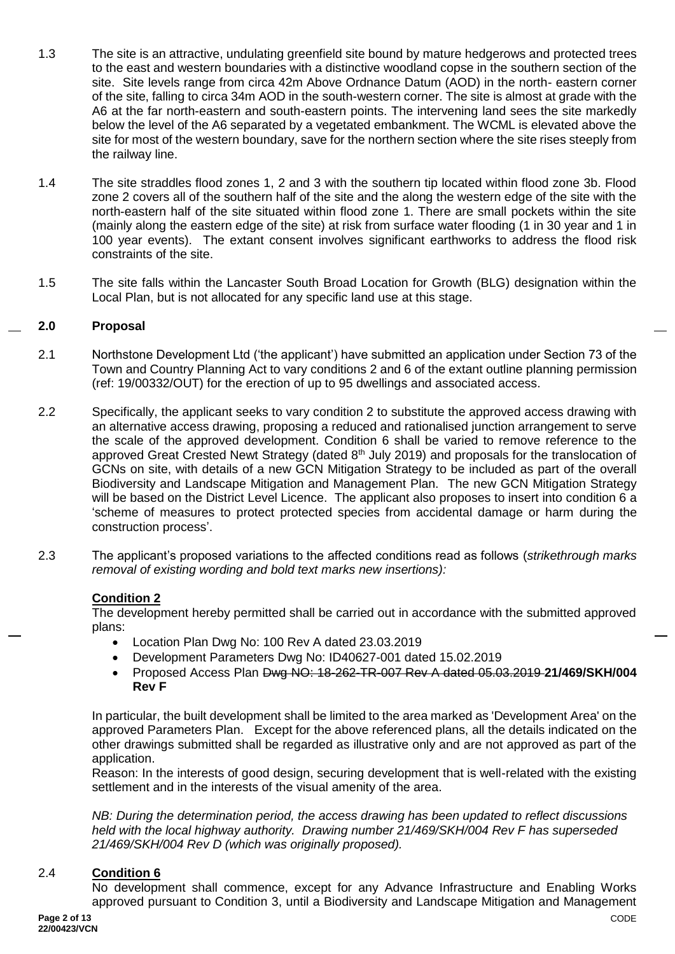- 1.3 The site is an attractive, undulating greenfield site bound by mature hedgerows and protected trees to the east and western boundaries with a distinctive woodland copse in the southern section of the site. Site levels range from circa 42m Above Ordnance Datum (AOD) in the north- eastern corner of the site, falling to circa 34m AOD in the south-western corner. The site is almost at grade with the A6 at the far north-eastern and south-eastern points. The intervening land sees the site markedly below the level of the A6 separated by a vegetated embankment. The WCML is elevated above the site for most of the western boundary, save for the northern section where the site rises steeply from the railway line.
- 1.4 The site straddles flood zones 1, 2 and 3 with the southern tip located within flood zone 3b. Flood zone 2 covers all of the southern half of the site and the along the western edge of the site with the north-eastern half of the site situated within flood zone 1. There are small pockets within the site (mainly along the eastern edge of the site) at risk from surface water flooding (1 in 30 year and 1 in 100 year events). The extant consent involves significant earthworks to address the flood risk constraints of the site.
- 1.5 The site falls within the Lancaster South Broad Location for Growth (BLG) designation within the Local Plan, but is not allocated for any specific land use at this stage.

#### **2.0 Proposal**

- 2.1 Northstone Development Ltd ('the applicant') have submitted an application under Section 73 of the Town and Country Planning Act to vary conditions 2 and 6 of the extant outline planning permission (ref: 19/00332/OUT) for the erection of up to 95 dwellings and associated access.
- 2.2 Specifically, the applicant seeks to vary condition 2 to substitute the approved access drawing with an alternative access drawing, proposing a reduced and rationalised junction arrangement to serve the scale of the approved development. Condition 6 shall be varied to remove reference to the approved Great Crested Newt Strategy (dated 8<sup>th</sup> July 2019) and proposals for the translocation of GCNs on site, with details of a new GCN Mitigation Strategy to be included as part of the overall Biodiversity and Landscape Mitigation and Management Plan. The new GCN Mitigation Strategy will be based on the District Level Licence. The applicant also proposes to insert into condition 6 a 'scheme of measures to protect protected species from accidental damage or harm during the construction process'.
- 2.3 The applicant's proposed variations to the affected conditions read as follows (*strikethrough marks removal of existing wording and bold text marks new insertions):*

#### **Condition 2**

The development hereby permitted shall be carried out in accordance with the submitted approved plans:

- Location Plan Dwg No: 100 Rev A dated 23.03.2019
- Development Parameters Dwg No: ID40627-001 dated 15.02.2019
- Proposed Access Plan Dwg NO: 18-262-TR-007 Rev A dated 05.03.2019 **21/469/SKH/004 Rev F**

In particular, the built development shall be limited to the area marked as 'Development Area' on the approved Parameters Plan. Except for the above referenced plans, all the details indicated on the other drawings submitted shall be regarded as illustrative only and are not approved as part of the application.

Reason: In the interests of good design, securing development that is well-related with the existing settlement and in the interests of the visual amenity of the area.

*NB: During the determination period, the access drawing has been updated to reflect discussions held with the local highway authority. Drawing number 21/469/SKH/004 Rev F has superseded 21/469/SKH/004 Rev D (which was originally proposed).* 

#### 2.4 **Condition 6**

No development shall commence, except for any Advance Infrastructure and Enabling Works approved pursuant to Condition 3, until a Biodiversity and Landscape Mitigation and Management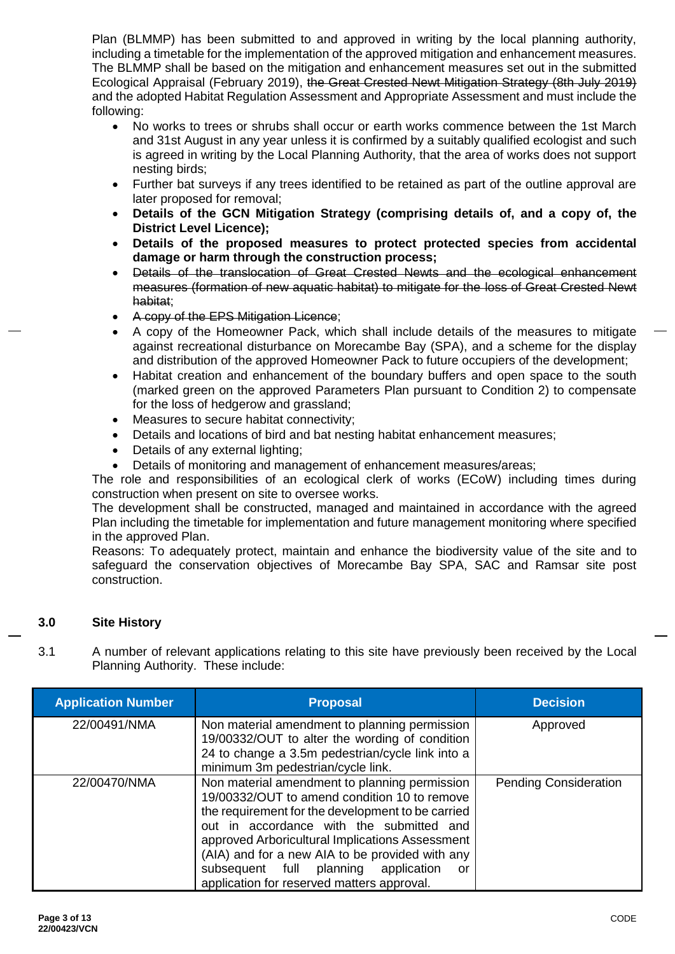Plan (BLMMP) has been submitted to and approved in writing by the local planning authority, including a timetable for the implementation of the approved mitigation and enhancement measures. The BLMMP shall be based on the mitigation and enhancement measures set out in the submitted Ecological Appraisal (February 2019), the Great Crested Newt Mitigation Strategy (8th July 2019) and the adopted Habitat Regulation Assessment and Appropriate Assessment and must include the following:

- No works to trees or shrubs shall occur or earth works commence between the 1st March and 31st August in any year unless it is confirmed by a suitably qualified ecologist and such is agreed in writing by the Local Planning Authority, that the area of works does not support nesting birds;
- Further bat surveys if any trees identified to be retained as part of the outline approval are later proposed for removal;
- **Details of the GCN Mitigation Strategy (comprising details of, and a copy of, the District Level Licence);**
- **Details of the proposed measures to protect protected species from accidental damage or harm through the construction process;**
- Details of the translocation of Great Crested Newts and the ecological enhancement measures (formation of new aquatic habitat) to mitigate for the loss of Great Crested Newt habitat;
- A copy of the EPS Mitigation Licence;
- A copy of the Homeowner Pack, which shall include details of the measures to mitigate against recreational disturbance on Morecambe Bay (SPA), and a scheme for the display and distribution of the approved Homeowner Pack to future occupiers of the development;
- Habitat creation and enhancement of the boundary buffers and open space to the south (marked green on the approved Parameters Plan pursuant to Condition 2) to compensate for the loss of hedgerow and grassland;
- Measures to secure habitat connectivity;
- Details and locations of bird and bat nesting habitat enhancement measures;
- Details of any external lighting;
- Details of monitoring and management of enhancement measures/areas;

The role and responsibilities of an ecological clerk of works (ECoW) including times during construction when present on site to oversee works.

The development shall be constructed, managed and maintained in accordance with the agreed Plan including the timetable for implementation and future management monitoring where specified in the approved Plan.

Reasons: To adequately protect, maintain and enhance the biodiversity value of the site and to safeguard the conservation objectives of Morecambe Bay SPA, SAC and Ramsar site post construction.

#### **3.0 Site History**

3.1 A number of relevant applications relating to this site have previously been received by the Local Planning Authority. These include:

| <b>Application Number</b> | <b>Proposal</b>                                                                                                                                                                                                                                                                                                                                                                                  | <b>Decision</b>              |
|---------------------------|--------------------------------------------------------------------------------------------------------------------------------------------------------------------------------------------------------------------------------------------------------------------------------------------------------------------------------------------------------------------------------------------------|------------------------------|
| 22/00491/NMA              | Non material amendment to planning permission<br>19/00332/OUT to alter the wording of condition<br>24 to change a 3.5m pedestrian/cycle link into a<br>minimum 3m pedestrian/cycle link.                                                                                                                                                                                                         | Approved                     |
| 22/00470/NMA              | Non material amendment to planning permission<br>19/00332/OUT to amend condition 10 to remove<br>the requirement for the development to be carried<br>out in accordance with the submitted and<br>approved Arboricultural Implications Assessment<br>(AIA) and for a new AIA to be provided with any<br>subsequent full planning application<br>or<br>application for reserved matters approval. | <b>Pending Consideration</b> |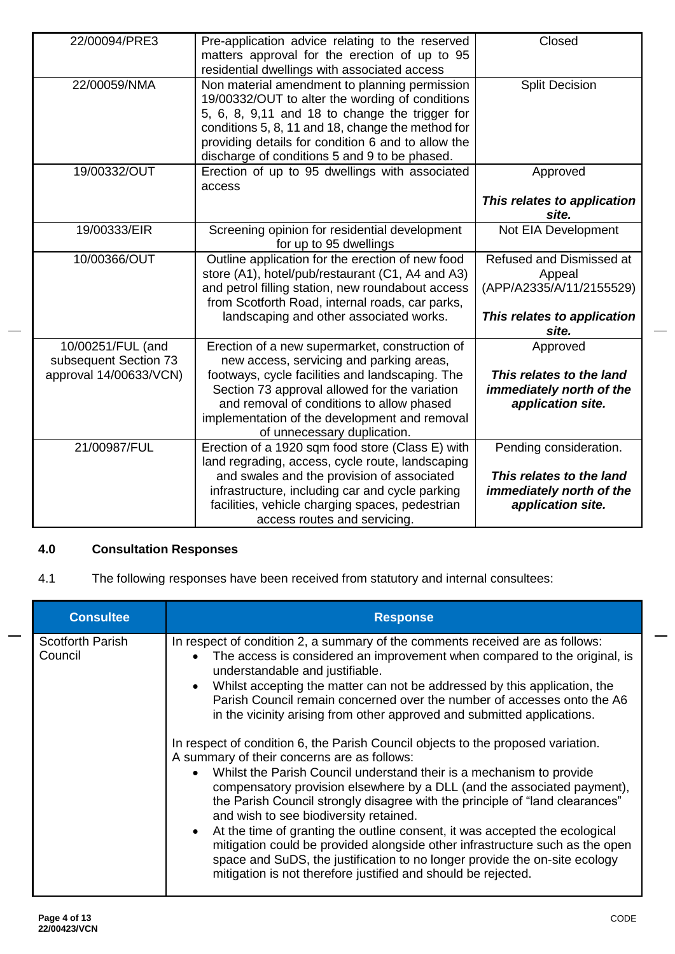| 22/00094/PRE3                                                        | Pre-application advice relating to the reserved<br>matters approval for the erection of up to 95<br>residential dwellings with associated access                                                                                                                                                                            | Closed                                                                                                 |
|----------------------------------------------------------------------|-----------------------------------------------------------------------------------------------------------------------------------------------------------------------------------------------------------------------------------------------------------------------------------------------------------------------------|--------------------------------------------------------------------------------------------------------|
| 22/00059/NMA                                                         | Non material amendment to planning permission<br>19/00332/OUT to alter the wording of conditions<br>5, 6, 8, 9,11 and 18 to change the trigger for<br>conditions 5, 8, 11 and 18, change the method for<br>providing details for condition 6 and to allow the<br>discharge of conditions 5 and 9 to be phased.              | <b>Split Decision</b>                                                                                  |
| 19/00332/OUT                                                         | Erection of up to 95 dwellings with associated<br>access                                                                                                                                                                                                                                                                    | Approved<br>This relates to application<br>site.                                                       |
| 19/00333/EIR                                                         | Screening opinion for residential development<br>for up to 95 dwellings                                                                                                                                                                                                                                                     | Not EIA Development                                                                                    |
| 10/00366/OUT                                                         | Outline application for the erection of new food<br>store (A1), hotel/pub/restaurant (C1, A4 and A3)<br>and petrol filling station, new roundabout access<br>from Scotforth Road, internal roads, car parks,<br>landscaping and other associated works.                                                                     | Refused and Dismissed at<br>Appeal<br>(APP/A2335/A/11/2155529)<br>This relates to application<br>site. |
| 10/00251/FUL (and<br>subsequent Section 73<br>approval 14/00633/VCN) | Erection of a new supermarket, construction of<br>new access, servicing and parking areas,<br>footways, cycle facilities and landscaping. The<br>Section 73 approval allowed for the variation<br>and removal of conditions to allow phased<br>implementation of the development and removal<br>of unnecessary duplication. | Approved<br>This relates to the land<br>immediately north of the<br>application site.                  |
| 21/00987/FUL                                                         | Erection of a 1920 sqm food store (Class E) with<br>land regrading, access, cycle route, landscaping<br>and swales and the provision of associated<br>infrastructure, including car and cycle parking<br>facilities, vehicle charging spaces, pedestrian<br>access routes and servicing.                                    | Pending consideration.<br>This relates to the land<br>immediately north of the<br>application site.    |

# **4.0 Consultation Responses**

4.1 The following responses have been received from statutory and internal consultees:

| <b>Consultee</b>                   | <b>Response</b>                                                                                                                                                                                                                                                                                                                                                                                                                                                                                                                                                                                                                                                                                                                                                                                                                                                                                                                                                                                                                                                                                                                                                             |
|------------------------------------|-----------------------------------------------------------------------------------------------------------------------------------------------------------------------------------------------------------------------------------------------------------------------------------------------------------------------------------------------------------------------------------------------------------------------------------------------------------------------------------------------------------------------------------------------------------------------------------------------------------------------------------------------------------------------------------------------------------------------------------------------------------------------------------------------------------------------------------------------------------------------------------------------------------------------------------------------------------------------------------------------------------------------------------------------------------------------------------------------------------------------------------------------------------------------------|
| <b>Scotforth Parish</b><br>Council | In respect of condition 2, a summary of the comments received are as follows:<br>The access is considered an improvement when compared to the original, is<br>$\bullet$<br>understandable and justifiable.<br>Whilst accepting the matter can not be addressed by this application, the<br>Parish Council remain concerned over the number of accesses onto the A6<br>in the vicinity arising from other approved and submitted applications.<br>In respect of condition 6, the Parish Council objects to the proposed variation.<br>A summary of their concerns are as follows:<br>Whilst the Parish Council understand their is a mechanism to provide<br>compensatory provision elsewhere by a DLL (and the associated payment),<br>the Parish Council strongly disagree with the principle of "land clearances"<br>and wish to see biodiversity retained.<br>At the time of granting the outline consent, it was accepted the ecological<br>mitigation could be provided alongside other infrastructure such as the open<br>space and SuDS, the justification to no longer provide the on-site ecology<br>mitigation is not therefore justified and should be rejected. |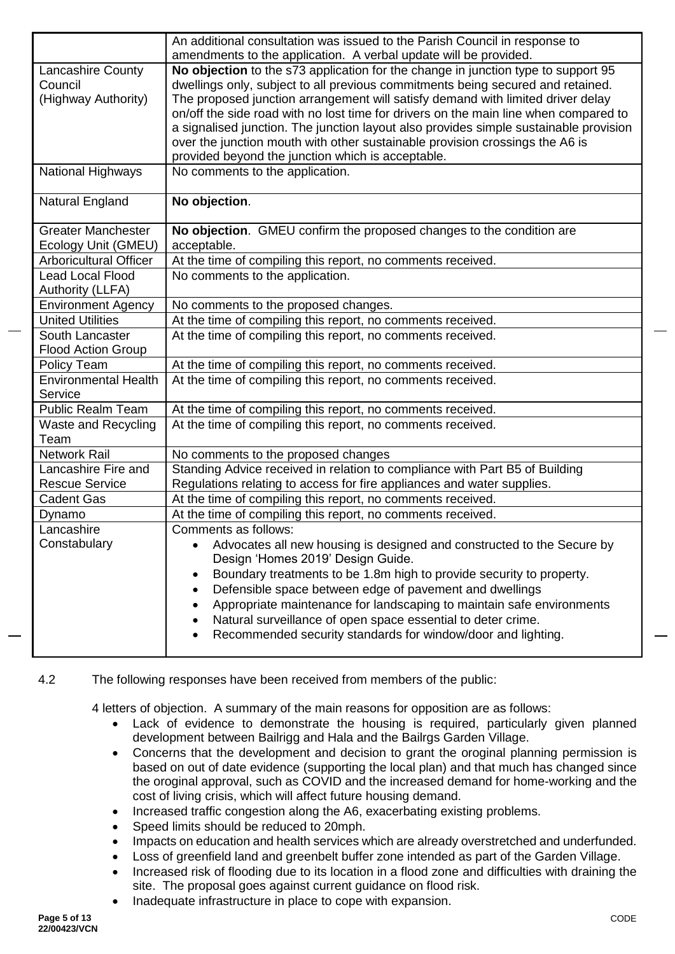|                               | An additional consultation was issued to the Parish Council in response to            |  |  |
|-------------------------------|---------------------------------------------------------------------------------------|--|--|
|                               | amendments to the application. A verbal update will be provided.                      |  |  |
| <b>Lancashire County</b>      | No objection to the s73 application for the change in junction type to support 95     |  |  |
| Council                       | dwellings only, subject to all previous commitments being secured and retained.       |  |  |
| (Highway Authority)           | The proposed junction arrangement will satisfy demand with limited driver delay       |  |  |
|                               | on/off the side road with no lost time for drivers on the main line when compared to  |  |  |
|                               | a signalised junction. The junction layout also provides simple sustainable provision |  |  |
|                               | over the junction mouth with other sustainable provision crossings the A6 is          |  |  |
|                               | provided beyond the junction which is acceptable.                                     |  |  |
| <b>National Highways</b>      | No comments to the application.                                                       |  |  |
| Natural England               | No objection.                                                                         |  |  |
| <b>Greater Manchester</b>     | No objection. GMEU confirm the proposed changes to the condition are                  |  |  |
| Ecology Unit (GMEU)           | acceptable.                                                                           |  |  |
| <b>Arboricultural Officer</b> | At the time of compiling this report, no comments received.                           |  |  |
| <b>Lead Local Flood</b>       | No comments to the application.                                                       |  |  |
| Authority (LLFA)              |                                                                                       |  |  |
| <b>Environment Agency</b>     | No comments to the proposed changes.                                                  |  |  |
| <b>United Utilities</b>       | At the time of compiling this report, no comments received.                           |  |  |
| South Lancaster               | At the time of compiling this report, no comments received.                           |  |  |
| <b>Flood Action Group</b>     |                                                                                       |  |  |
| Policy Team                   | At the time of compiling this report, no comments received.                           |  |  |
| <b>Environmental Health</b>   | At the time of compiling this report, no comments received.                           |  |  |
| Service                       |                                                                                       |  |  |
| <b>Public Realm Team</b>      | At the time of compiling this report, no comments received.                           |  |  |
| <b>Waste and Recycling</b>    | At the time of compiling this report, no comments received.                           |  |  |
| Team                          |                                                                                       |  |  |
| <b>Network Rail</b>           | No comments to the proposed changes                                                   |  |  |
| Lancashire Fire and           | Standing Advice received in relation to compliance with Part B5 of Building           |  |  |
| <b>Rescue Service</b>         | Regulations relating to access for fire appliances and water supplies.                |  |  |
| <b>Cadent Gas</b>             | At the time of compiling this report, no comments received.                           |  |  |
| Dynamo                        | At the time of compiling this report, no comments received.                           |  |  |
| Lancashire                    | Comments as follows:                                                                  |  |  |
| Constabulary                  | Advocates all new housing is designed and constructed to the Secure by                |  |  |
|                               | Design 'Homes 2019' Design Guide.                                                     |  |  |
|                               | Boundary treatments to be 1.8m high to provide security to property.                  |  |  |
|                               | Defensible space between edge of pavement and dwellings<br>$\bullet$                  |  |  |
|                               | Appropriate maintenance for landscaping to maintain safe environments                 |  |  |
|                               | Natural surveillance of open space essential to deter crime.                          |  |  |
|                               | Recommended security standards for window/door and lighting.                          |  |  |
|                               |                                                                                       |  |  |

# 4.2 The following responses have been received from members of the public:

4 letters of objection. A summary of the main reasons for opposition are as follows:

- Lack of evidence to demonstrate the housing is required, particularly given planned development between Bailrigg and Hala and the Bailrgs Garden Village.
- Concerns that the development and decision to grant the oroginal planning permission is based on out of date evidence (supporting the local plan) and that much has changed since the oroginal approval, such as COVID and the increased demand for home-working and the cost of living crisis, which will affect future housing demand.
- Increased traffic congestion along the A6, exacerbating existing problems.
- Speed limits should be reduced to 20mph.
- Impacts on education and health services which are already overstretched and underfunded.
- Loss of greenfield land and greenbelt buffer zone intended as part of the Garden Village.
- Increased risk of flooding due to its location in a flood zone and difficulties with draining the site. The proposal goes against current guidance on flood risk.
- Inadequate infrastructure in place to cope with expansion.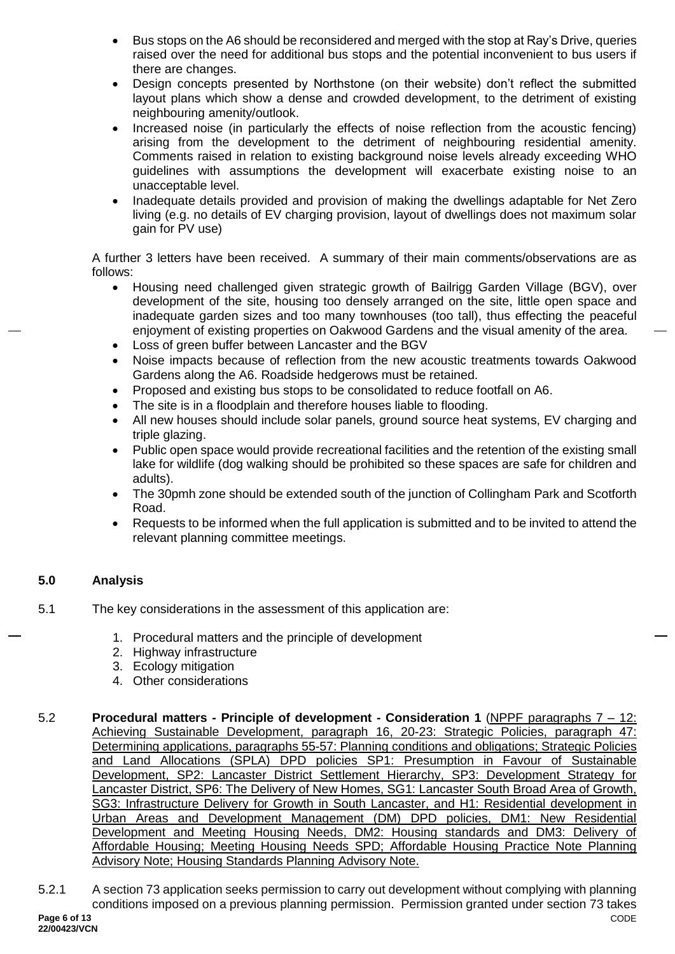- Bus stops on the A6 should be reconsidered and merged with the stop at Ray's Drive, queries raised over the need for additional bus stops and the potential inconvenient to bus users if there are changes.
- Design concepts presented by Northstone (on their website) don't reflect the submitted layout plans which show a dense and crowded development, to the detriment of existing neighbouring amenity/outlook.
- Increased noise (in particularly the effects of noise reflection from the acoustic fencing) arising from the development to the detriment of neighbouring residential amenity. Comments raised in relation to existing background noise levels already exceeding WHO guidelines with assumptions the development will exacerbate existing noise to an unacceptable level.
- Inadequate details provided and provision of making the dwellings adaptable for Net Zero living (e.g. no details of EV charging provision, layout of dwellings does not maximum solar gain for PV use)

A further 3 letters have been received. A summary of their main comments/observations are as follows:

- Housing need challenged given strategic growth of Bailrigg Garden Village (BGV), over development of the site, housing too densely arranged on the site, little open space and inadequate garden sizes and too many townhouses (too tall), thus effecting the peaceful enjoyment of existing properties on Oakwood Gardens and the visual amenity of the area.
- Loss of green buffer between Lancaster and the BGV
- Noise impacts because of reflection from the new acoustic treatments towards Oakwood Gardens along the A6. Roadside hedgerows must be retained.
- Proposed and existing bus stops to be consolidated to reduce footfall on A6.
- The site is in a floodplain and therefore houses liable to flooding.
- All new houses should include solar panels, ground source heat systems, EV charging and triple glazing.
- Public open space would provide recreational facilities and the retention of the existing small lake for wildlife (dog walking should be prohibited so these spaces are safe for children and adults).
- The 30pmh zone should be extended south of the junction of Collingham Park and Scotforth Road.
- Requests to be informed when the full application is submitted and to be invited to attend the relevant planning committee meetings.

# **5.0 Analysis**

- 5.1 The key considerations in the assessment of this application are:
	- 1. Procedural matters and the principle of development
	- 2. Highway infrastructure
	- 3. Ecology mitigation
	- 4. Other considerations
- 5.2 **Procedural matters - Principle of development - Consideration 1** (NPPF paragraphs 7 12: Achieving Sustainable Development, paragraph 16, 20-23: Strategic Policies, paragraph 47: Determining applications, paragraphs 55-57: Planning conditions and obligations; Strategic Policies and Land Allocations (SPLA) DPD policies SP1: Presumption in Favour of Sustainable Development, SP2: Lancaster District Settlement Hierarchy, SP3: Development Strategy for Lancaster District, SP6: The Delivery of New Homes, SG1: Lancaster South Broad Area of Growth, SG3: Infrastructure Delivery for Growth in South Lancaster, and H1: Residential development in Urban Areas and Development Management (DM) DPD policies, DM1: New Residential Development and Meeting Housing Needs, DM2: Housing standards and DM3: Delivery of Affordable Housing; Meeting Housing Needs SPD; Affordable Housing Practice Note Planning Advisory Note; Housing Standards Planning Advisory Note.
- CODE 5.2.1 A section 73 application seeks permission to carry out development without complying with planning conditions imposed on a previous planning permission. Permission granted under section 73 takes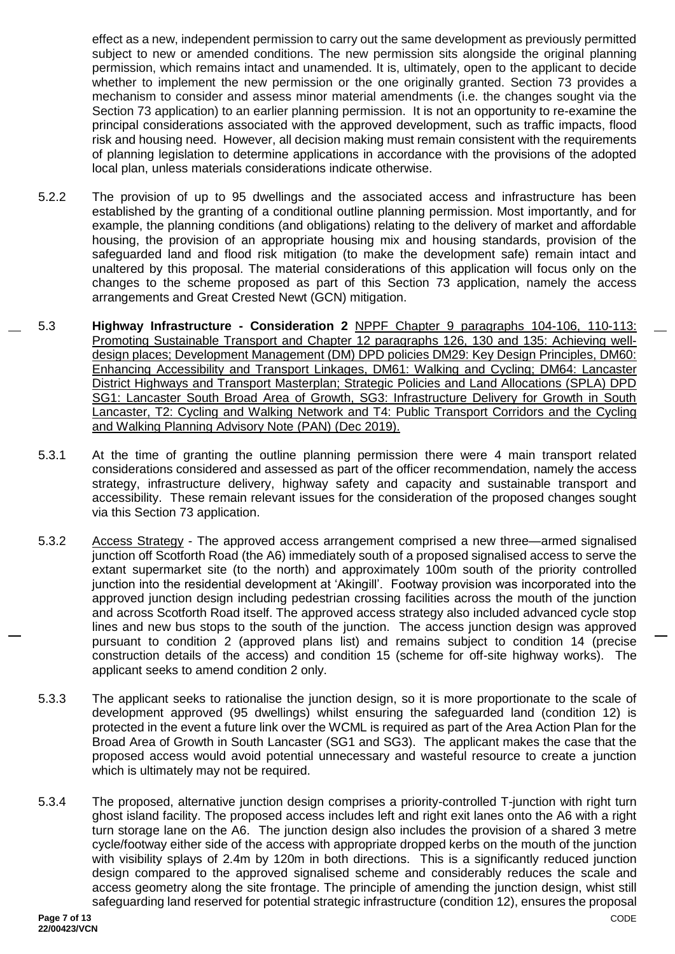effect as a new, independent permission to carry out the same development as previously permitted subject to new or amended conditions. The new permission sits alongside the original planning permission, which remains intact and unamended. It is, ultimately, open to the applicant to decide whether to implement the new permission or the one originally granted. Section 73 provides a mechanism to consider and assess minor material amendments (i.e. the changes sought via the Section 73 application) to an earlier planning permission. It is not an opportunity to re-examine the principal considerations associated with the approved development, such as traffic impacts, flood risk and housing need. However, all decision making must remain consistent with the requirements of planning legislation to determine applications in accordance with the provisions of the adopted local plan, unless materials considerations indicate otherwise.

- 5.2.2 The provision of up to 95 dwellings and the associated access and infrastructure has been established by the granting of a conditional outline planning permission. Most importantly, and for example, the planning conditions (and obligations) relating to the delivery of market and affordable housing, the provision of an appropriate housing mix and housing standards, provision of the safeguarded land and flood risk mitigation (to make the development safe) remain intact and unaltered by this proposal. The material considerations of this application will focus only on the changes to the scheme proposed as part of this Section 73 application, namely the access arrangements and Great Crested Newt (GCN) mitigation.
- 5.3 **Highway Infrastructure - Consideration 2** NPPF Chapter 9 paragraphs 104-106, 110-113: Promoting Sustainable Transport and Chapter 12 paragraphs 126, 130 and 135: Achieving welldesign places; Development Management (DM) DPD policies DM29: Key Design Principles, DM60: Enhancing Accessibility and Transport Linkages, DM61: Walking and Cycling; DM64: Lancaster District Highways and Transport Masterplan; Strategic Policies and Land Allocations (SPLA) DPD SG1: Lancaster South Broad Area of Growth, SG3: Infrastructure Delivery for Growth in South Lancaster, T2: Cycling and Walking Network and T4: Public Transport Corridors and the Cycling and Walking Planning Advisory Note (PAN) (Dec 2019).
	- 5.3.1 At the time of granting the outline planning permission there were 4 main transport related considerations considered and assessed as part of the officer recommendation, namely the access strategy, infrastructure delivery, highway safety and capacity and sustainable transport and accessibility. These remain relevant issues for the consideration of the proposed changes sought via this Section 73 application.
	- 5.3.2 Access Strategy The approved access arrangement comprised a new three—armed signalised junction off Scotforth Road (the A6) immediately south of a proposed signalised access to serve the extant supermarket site (to the north) and approximately 100m south of the priority controlled junction into the residential development at 'Akingill'. Footway provision was incorporated into the approved junction design including pedestrian crossing facilities across the mouth of the junction and across Scotforth Road itself. The approved access strategy also included advanced cycle stop lines and new bus stops to the south of the junction. The access junction design was approved pursuant to condition 2 (approved plans list) and remains subject to condition 14 (precise construction details of the access) and condition 15 (scheme for off-site highway works). The applicant seeks to amend condition 2 only.
	- 5.3.3 The applicant seeks to rationalise the junction design, so it is more proportionate to the scale of development approved (95 dwellings) whilst ensuring the safeguarded land (condition 12) is protected in the event a future link over the WCML is required as part of the Area Action Plan for the Broad Area of Growth in South Lancaster (SG1 and SG3). The applicant makes the case that the proposed access would avoid potential unnecessary and wasteful resource to create a junction which is ultimately may not be required.
	- 5.3.4 The proposed, alternative junction design comprises a priority-controlled T-junction with right turn ghost island facility. The proposed access includes left and right exit lanes onto the A6 with a right turn storage lane on the A6. The junction design also includes the provision of a shared 3 metre cycle/footway either side of the access with appropriate dropped kerbs on the mouth of the junction with visibility splays of 2.4m by 120m in both directions. This is a significantly reduced junction design compared to the approved signalised scheme and considerably reduces the scale and access geometry along the site frontage. The principle of amending the junction design, whist still safeguarding land reserved for potential strategic infrastructure (condition 12), ensures the proposal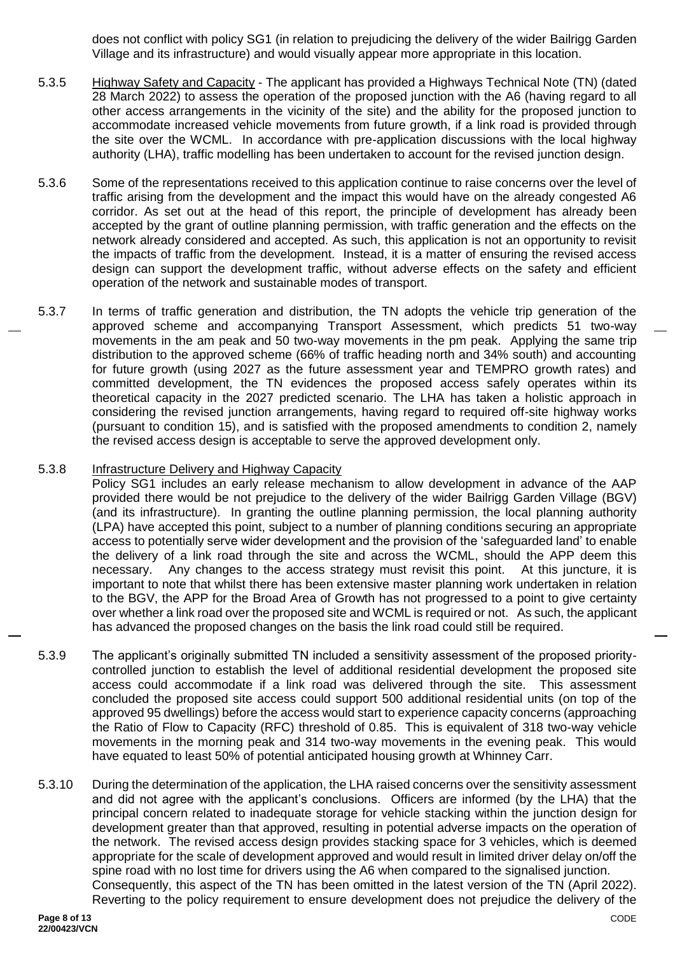does not conflict with policy SG1 (in relation to prejudicing the delivery of the wider Bailrigg Garden Village and its infrastructure) and would visually appear more appropriate in this location.

- 5.3.5 Highway Safety and Capacity The applicant has provided a Highways Technical Note (TN) (dated 28 March 2022) to assess the operation of the proposed junction with the A6 (having regard to all other access arrangements in the vicinity of the site) and the ability for the proposed junction to accommodate increased vehicle movements from future growth, if a link road is provided through the site over the WCML. In accordance with pre-application discussions with the local highway authority (LHA), traffic modelling has been undertaken to account for the revised junction design.
- 5.3.6 Some of the representations received to this application continue to raise concerns over the level of traffic arising from the development and the impact this would have on the already congested A6 corridor. As set out at the head of this report, the principle of development has already been accepted by the grant of outline planning permission, with traffic generation and the effects on the network already considered and accepted. As such, this application is not an opportunity to revisit the impacts of traffic from the development. Instead, it is a matter of ensuring the revised access design can support the development traffic, without adverse effects on the safety and efficient operation of the network and sustainable modes of transport.
- 5.3.7 In terms of traffic generation and distribution, the TN adopts the vehicle trip generation of the approved scheme and accompanying Transport Assessment, which predicts 51 two-way movements in the am peak and 50 two-way movements in the pm peak. Applying the same trip distribution to the approved scheme (66% of traffic heading north and 34% south) and accounting for future growth (using 2027 as the future assessment year and TEMPRO growth rates) and committed development, the TN evidences the proposed access safely operates within its theoretical capacity in the 2027 predicted scenario. The LHA has taken a holistic approach in considering the revised junction arrangements, having regard to required off-site highway works (pursuant to condition 15), and is satisfied with the proposed amendments to condition 2, namely the revised access design is acceptable to serve the approved development only.

#### 5.3.8 Infrastructure Delivery and Highway Capacity

Policy SG1 includes an early release mechanism to allow development in advance of the AAP provided there would be not prejudice to the delivery of the wider Bailrigg Garden Village (BGV) (and its infrastructure). In granting the outline planning permission, the local planning authority (LPA) have accepted this point, subject to a number of planning conditions securing an appropriate access to potentially serve wider development and the provision of the 'safeguarded land' to enable the delivery of a link road through the site and across the WCML, should the APP deem this necessary. Any changes to the access strategy must revisit this point. At this juncture, it is important to note that whilst there has been extensive master planning work undertaken in relation to the BGV, the APP for the Broad Area of Growth has not progressed to a point to give certainty over whether a link road over the proposed site and WCML is required or not. As such, the applicant has advanced the proposed changes on the basis the link road could still be required.

- 5.3.9 The applicant's originally submitted TN included a sensitivity assessment of the proposed prioritycontrolled junction to establish the level of additional residential development the proposed site access could accommodate if a link road was delivered through the site. This assessment concluded the proposed site access could support 500 additional residential units (on top of the approved 95 dwellings) before the access would start to experience capacity concerns (approaching the Ratio of Flow to Capacity (RFC) threshold of 0.85. This is equivalent of 318 two-way vehicle movements in the morning peak and 314 two-way movements in the evening peak. This would have equated to least 50% of potential anticipated housing growth at Whinney Carr.
- 5.3.10 During the determination of the application, the LHA raised concerns over the sensitivity assessment and did not agree with the applicant's conclusions. Officers are informed (by the LHA) that the principal concern related to inadequate storage for vehicle stacking within the junction design for development greater than that approved, resulting in potential adverse impacts on the operation of the network. The revised access design provides stacking space for 3 vehicles, which is deemed appropriate for the scale of development approved and would result in limited driver delay on/off the spine road with no lost time for drivers using the A6 when compared to the signalised junction. Consequently, this aspect of the TN has been omitted in the latest version of the TN (April 2022). Reverting to the policy requirement to ensure development does not prejudice the delivery of the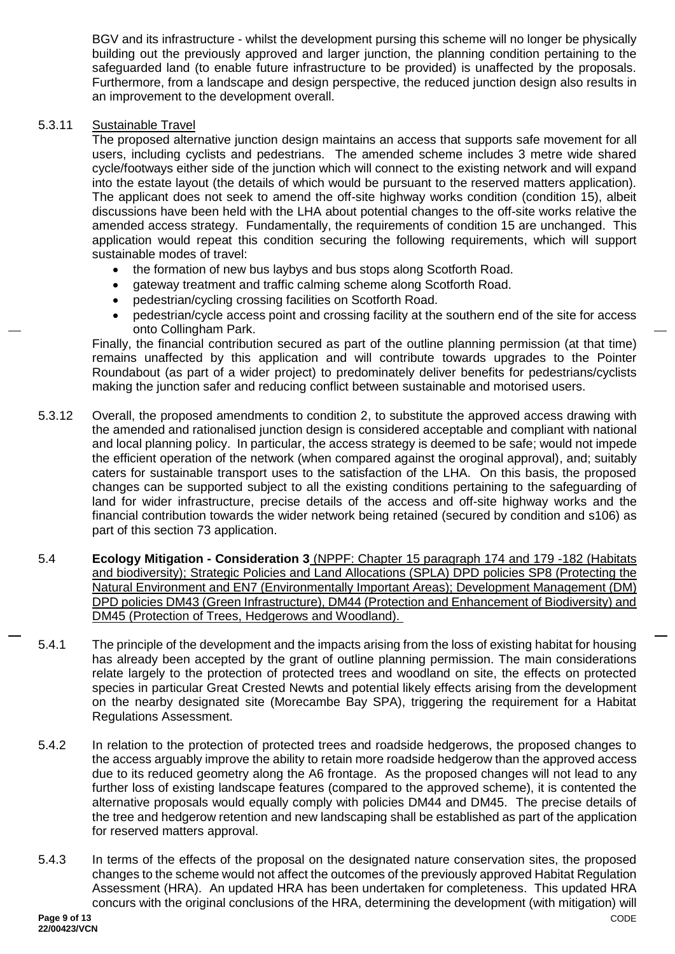BGV and its infrastructure - whilst the development pursing this scheme will no longer be physically building out the previously approved and larger junction, the planning condition pertaining to the safeguarded land (to enable future infrastructure to be provided) is unaffected by the proposals. Furthermore, from a landscape and design perspective, the reduced junction design also results in an improvement to the development overall.

#### 5.3.11 Sustainable Travel

The proposed alternative junction design maintains an access that supports safe movement for all users, including cyclists and pedestrians. The amended scheme includes 3 metre wide shared cycle/footways either side of the junction which will connect to the existing network and will expand into the estate layout (the details of which would be pursuant to the reserved matters application). The applicant does not seek to amend the off-site highway works condition (condition 15), albeit discussions have been held with the LHA about potential changes to the off-site works relative the amended access strategy. Fundamentally, the requirements of condition 15 are unchanged. This application would repeat this condition securing the following requirements, which will support sustainable modes of travel:

- the formation of new bus laybys and bus stops along Scotforth Road.
- gateway treatment and traffic calming scheme along Scotforth Road.
- pedestrian/cycling crossing facilities on Scotforth Road.
- pedestrian/cycle access point and crossing facility at the southern end of the site for access onto Collingham Park.

Finally, the financial contribution secured as part of the outline planning permission (at that time) remains unaffected by this application and will contribute towards upgrades to the Pointer Roundabout (as part of a wider project) to predominately deliver benefits for pedestrians/cyclists making the junction safer and reducing conflict between sustainable and motorised users.

- 5.3.12 Overall, the proposed amendments to condition 2, to substitute the approved access drawing with the amended and rationalised junction design is considered acceptable and compliant with national and local planning policy. In particular, the access strategy is deemed to be safe; would not impede the efficient operation of the network (when compared against the oroginal approval), and; suitably caters for sustainable transport uses to the satisfaction of the LHA. On this basis, the proposed changes can be supported subject to all the existing conditions pertaining to the safeguarding of land for wider infrastructure, precise details of the access and off-site highway works and the financial contribution towards the wider network being retained (secured by condition and s106) as part of this section 73 application.
- 5.4 **Ecology Mitigation - Consideration 3** (NPPF: Chapter 15 paragraph 174 and 179 -182 (Habitats and biodiversity); Strategic Policies and Land Allocations (SPLA) DPD policies SP8 (Protecting the Natural Environment and EN7 (Environmentally Important Areas); Development Management (DM) DPD policies DM43 (Green Infrastructure), DM44 (Protection and Enhancement of Biodiversity) and DM45 (Protection of Trees, Hedgerows and Woodland).
- 5.4.1 The principle of the development and the impacts arising from the loss of existing habitat for housing has already been accepted by the grant of outline planning permission. The main considerations relate largely to the protection of protected trees and woodland on site, the effects on protected species in particular Great Crested Newts and potential likely effects arising from the development on the nearby designated site (Morecambe Bay SPA), triggering the requirement for a Habitat Regulations Assessment.
- 5.4.2 In relation to the protection of protected trees and roadside hedgerows, the proposed changes to the access arguably improve the ability to retain more roadside hedgerow than the approved access due to its reduced geometry along the A6 frontage. As the proposed changes will not lead to any further loss of existing landscape features (compared to the approved scheme), it is contented the alternative proposals would equally comply with policies DM44 and DM45. The precise details of the tree and hedgerow retention and new landscaping shall be established as part of the application for reserved matters approval.
- 5.4.3 In terms of the effects of the proposal on the designated nature conservation sites, the proposed changes to the scheme would not affect the outcomes of the previously approved Habitat Regulation Assessment (HRA). An updated HRA has been undertaken for completeness. This updated HRA concurs with the original conclusions of the HRA, determining the development (with mitigation) will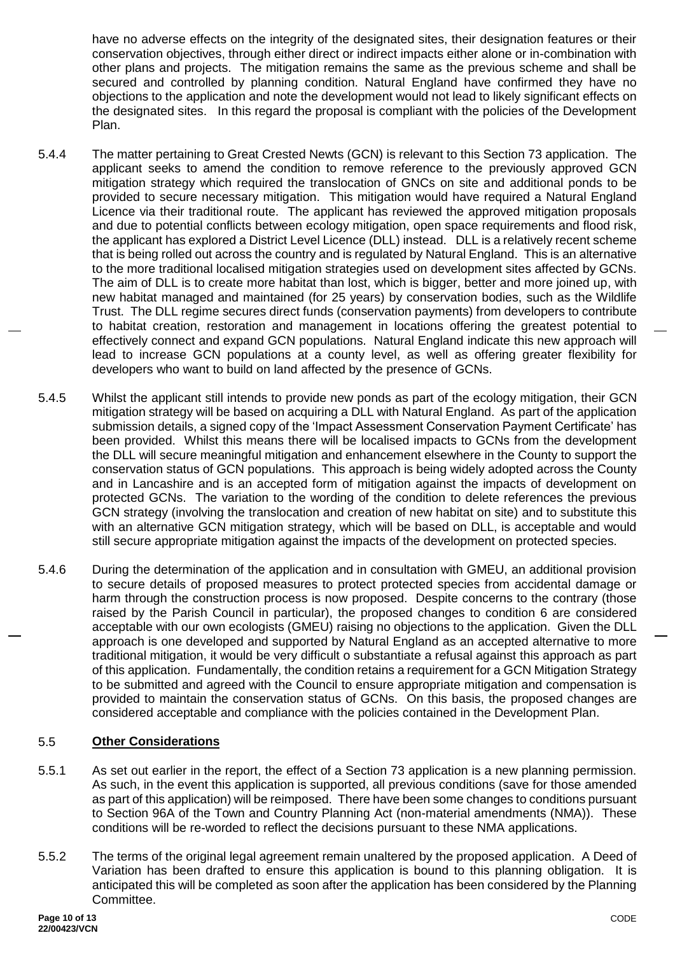have no adverse effects on the integrity of the designated sites, their designation features or their conservation objectives, through either direct or indirect impacts either alone or in-combination with other plans and projects. The mitigation remains the same as the previous scheme and shall be secured and controlled by planning condition. Natural England have confirmed they have no objections to the application and note the development would not lead to likely significant effects on the designated sites. In this regard the proposal is compliant with the policies of the Development Plan.

- 5.4.4 The matter pertaining to Great Crested Newts (GCN) is relevant to this Section 73 application. The applicant seeks to amend the condition to remove reference to the previously approved GCN mitigation strategy which required the translocation of GNCs on site and additional ponds to be provided to secure necessary mitigation. This mitigation would have required a Natural England Licence via their traditional route. The applicant has reviewed the approved mitigation proposals and due to potential conflicts between ecology mitigation, open space requirements and flood risk, the applicant has explored a District Level Licence (DLL) instead. DLL is a relatively recent scheme that is being rolled out across the country and is regulated by Natural England. This is an alternative to the more traditional localised mitigation strategies used on development sites affected by GCNs. The aim of DLL is to create more habitat than lost, which is bigger, better and more joined up, with new habitat managed and maintained (for 25 years) by conservation bodies, such as the Wildlife Trust. The DLL regime secures direct funds (conservation payments) from developers to contribute to habitat creation, restoration and management in locations offering the greatest potential to effectively connect and expand GCN populations. Natural England indicate this new approach will lead to increase GCN populations at a county level, as well as offering greater flexibility for developers who want to build on land affected by the presence of GCNs.
- 5.4.5 Whilst the applicant still intends to provide new ponds as part of the ecology mitigation, their GCN mitigation strategy will be based on acquiring a DLL with Natural England. As part of the application submission details, a signed copy of the 'Impact Assessment Conservation Payment Certificate' has been provided. Whilst this means there will be localised impacts to GCNs from the development the DLL will secure meaningful mitigation and enhancement elsewhere in the County to support the conservation status of GCN populations. This approach is being widely adopted across the County and in Lancashire and is an accepted form of mitigation against the impacts of development on protected GCNs. The variation to the wording of the condition to delete references the previous GCN strategy (involving the translocation and creation of new habitat on site) and to substitute this with an alternative GCN mitigation strategy, which will be based on DLL, is acceptable and would still secure appropriate mitigation against the impacts of the development on protected species.
- 5.4.6 During the determination of the application and in consultation with GMEU, an additional provision to secure details of proposed measures to protect protected species from accidental damage or harm through the construction process is now proposed. Despite concerns to the contrary (those raised by the Parish Council in particular), the proposed changes to condition 6 are considered acceptable with our own ecologists (GMEU) raising no objections to the application. Given the DLL approach is one developed and supported by Natural England as an accepted alternative to more traditional mitigation, it would be very difficult o substantiate a refusal against this approach as part of this application. Fundamentally, the condition retains a requirement for a GCN Mitigation Strategy to be submitted and agreed with the Council to ensure appropriate mitigation and compensation is provided to maintain the conservation status of GCNs. On this basis, the proposed changes are considered acceptable and compliance with the policies contained in the Development Plan.

#### 5.5 **Other Considerations**

- 5.5.1 As set out earlier in the report, the effect of a Section 73 application is a new planning permission. As such, in the event this application is supported, all previous conditions (save for those amended as part of this application) will be reimposed. There have been some changes to conditions pursuant to Section 96A of the Town and Country Planning Act (non-material amendments (NMA)). These conditions will be re-worded to reflect the decisions pursuant to these NMA applications.
- 5.5.2 The terms of the original legal agreement remain unaltered by the proposed application. A Deed of Variation has been drafted to ensure this application is bound to this planning obligation. It is anticipated this will be completed as soon after the application has been considered by the Planning Committee.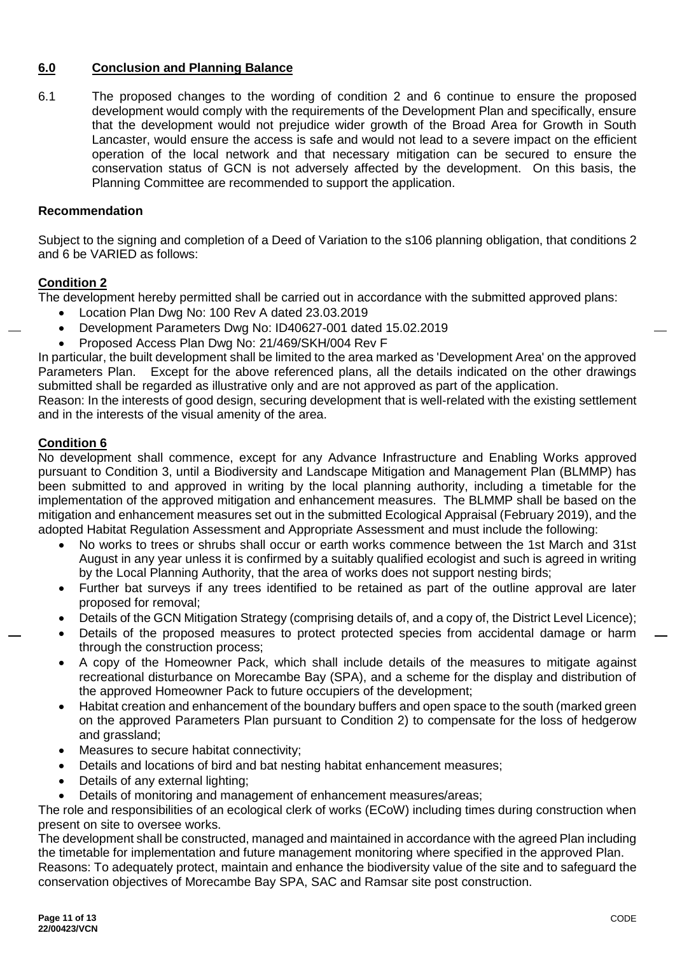### **6.0 Conclusion and Planning Balance**

6.1 The proposed changes to the wording of condition 2 and 6 continue to ensure the proposed development would comply with the requirements of the Development Plan and specifically, ensure that the development would not prejudice wider growth of the Broad Area for Growth in South Lancaster, would ensure the access is safe and would not lead to a severe impact on the efficient operation of the local network and that necessary mitigation can be secured to ensure the conservation status of GCN is not adversely affected by the development. On this basis, the Planning Committee are recommended to support the application.

#### **Recommendation**

Subject to the signing and completion of a Deed of Variation to the s106 planning obligation, that conditions 2 and 6 be VARIED as follows:

#### **Condition 2**

The development hereby permitted shall be carried out in accordance with the submitted approved plans:

- Location Plan Dwg No: 100 Rev A dated 23.03.2019
- Development Parameters Dwg No: ID40627-001 dated 15.02.2019
- Proposed Access Plan Dwg No: 21/469/SKH/004 Rev F

In particular, the built development shall be limited to the area marked as 'Development Area' on the approved Parameters Plan. Except for the above referenced plans, all the details indicated on the other drawings submitted shall be regarded as illustrative only and are not approved as part of the application.

Reason: In the interests of good design, securing development that is well-related with the existing settlement and in the interests of the visual amenity of the area.

#### **Condition 6**

No development shall commence, except for any Advance Infrastructure and Enabling Works approved pursuant to Condition 3, until a Biodiversity and Landscape Mitigation and Management Plan (BLMMP) has been submitted to and approved in writing by the local planning authority, including a timetable for the implementation of the approved mitigation and enhancement measures. The BLMMP shall be based on the mitigation and enhancement measures set out in the submitted Ecological Appraisal (February 2019), and the adopted Habitat Regulation Assessment and Appropriate Assessment and must include the following:

- No works to trees or shrubs shall occur or earth works commence between the 1st March and 31st August in any year unless it is confirmed by a suitably qualified ecologist and such is agreed in writing by the Local Planning Authority, that the area of works does not support nesting birds;
- Further bat surveys if any trees identified to be retained as part of the outline approval are later proposed for removal;
- Details of the GCN Mitigation Strategy (comprising details of, and a copy of, the District Level Licence);
- Details of the proposed measures to protect protected species from accidental damage or harm through the construction process;
- A copy of the Homeowner Pack, which shall include details of the measures to mitigate against recreational disturbance on Morecambe Bay (SPA), and a scheme for the display and distribution of the approved Homeowner Pack to future occupiers of the development;
- Habitat creation and enhancement of the boundary buffers and open space to the south (marked green on the approved Parameters Plan pursuant to Condition 2) to compensate for the loss of hedgerow and grassland;
- Measures to secure habitat connectivity;
- Details and locations of bird and bat nesting habitat enhancement measures;
- Details of any external lighting;
- Details of monitoring and management of enhancement measures/areas;

The role and responsibilities of an ecological clerk of works (ECoW) including times during construction when present on site to oversee works.

The development shall be constructed, managed and maintained in accordance with the agreed Plan including the timetable for implementation and future management monitoring where specified in the approved Plan. Reasons: To adequately protect, maintain and enhance the biodiversity value of the site and to safeguard the conservation objectives of Morecambe Bay SPA, SAC and Ramsar site post construction.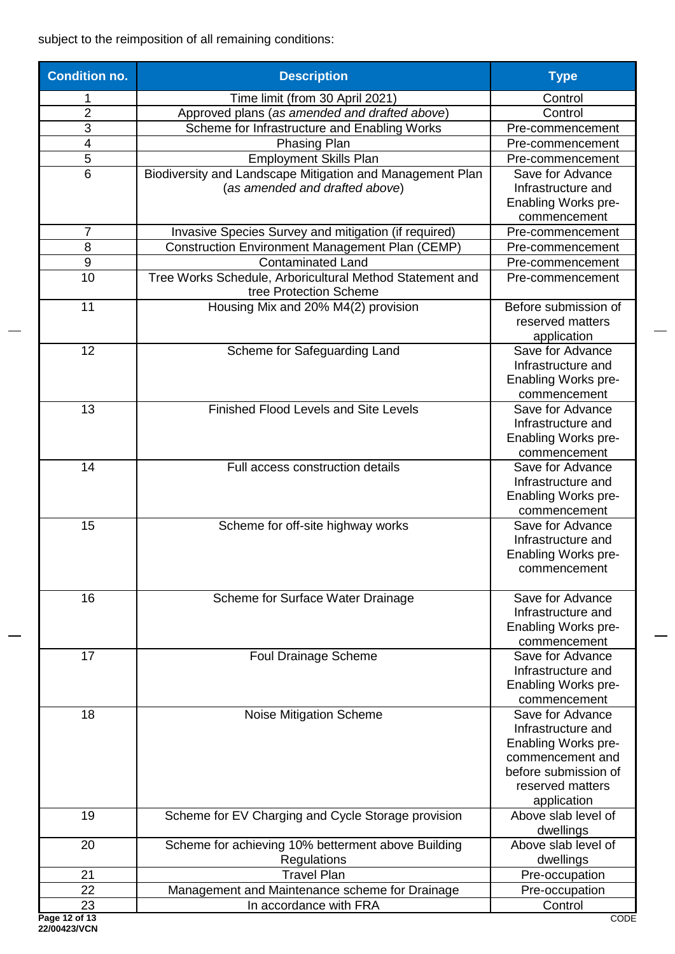subject to the reimposition of all remaining conditions:

| <b>Condition no.</b> | <b>Description</b>                                        | <b>Type</b>                      |
|----------------------|-----------------------------------------------------------|----------------------------------|
|                      | Time limit (from 30 April 2021)                           | Control                          |
| $\overline{2}$       | Approved plans (as amended and drafted above)             | Control                          |
| 3                    | Scheme for Infrastructure and Enabling Works              | Pre-commencement                 |
| 4                    | <b>Phasing Plan</b>                                       | Pre-commencement                 |
| 5                    | <b>Employment Skills Plan</b>                             | Pre-commencement                 |
| 6                    | Biodiversity and Landscape Mitigation and Management Plan | Save for Advance                 |
|                      | (as amended and drafted above)                            | Infrastructure and               |
|                      |                                                           | <b>Enabling Works pre-</b>       |
|                      |                                                           | commencement                     |
| 7                    | Invasive Species Survey and mitigation (if required)      | Pre-commencement                 |
| 8                    | <b>Construction Environment Management Plan (CEMP)</b>    | Pre-commencement                 |
| 9                    | <b>Contaminated Land</b>                                  | Pre-commencement                 |
| 10                   | Tree Works Schedule, Arboricultural Method Statement and  | Pre-commencement                 |
|                      | tree Protection Scheme                                    |                                  |
| 11                   | Housing Mix and 20% M4(2) provision                       | Before submission of             |
|                      |                                                           | reserved matters                 |
|                      |                                                           | application                      |
| 12                   | Scheme for Safeguarding Land                              | Save for Advance                 |
|                      |                                                           | Infrastructure and               |
|                      |                                                           | <b>Enabling Works pre-</b>       |
|                      |                                                           | commencement                     |
| 13                   | <b>Finished Flood Levels and Site Levels</b>              | Save for Advance                 |
|                      |                                                           | Infrastructure and               |
|                      |                                                           | Enabling Works pre-              |
|                      |                                                           | commencement                     |
| 14                   | Full access construction details                          | Save for Advance                 |
|                      |                                                           | Infrastructure and               |
|                      |                                                           | <b>Enabling Works pre-</b>       |
|                      |                                                           | commencement                     |
| 15                   | Scheme for off-site highway works                         | Save for Advance                 |
|                      |                                                           | Infrastructure and               |
|                      |                                                           | <b>Enabling Works pre-</b>       |
|                      |                                                           | commencement                     |
|                      |                                                           |                                  |
| 16                   | Scheme for Surface Water Drainage                         | Save for Advance                 |
|                      |                                                           | Infrastructure and               |
|                      |                                                           | Enabling Works pre-              |
|                      |                                                           | commencement                     |
| 17                   | <b>Foul Drainage Scheme</b>                               | Save for Advance                 |
|                      |                                                           | Infrastructure and               |
|                      |                                                           | Enabling Works pre-              |
| 18                   |                                                           | commencement<br>Save for Advance |
|                      | <b>Noise Mitigation Scheme</b>                            | Infrastructure and               |
|                      |                                                           | Enabling Works pre-              |
|                      |                                                           | commencement and                 |
|                      |                                                           | before submission of             |
|                      |                                                           | reserved matters                 |
|                      |                                                           | application                      |
| 19                   | Scheme for EV Charging and Cycle Storage provision        | Above slab level of              |
|                      |                                                           | dwellings                        |
| 20                   | Scheme for achieving 10% betterment above Building        | Above slab level of              |
|                      | Regulations                                               | dwellings                        |
| 21                   | <b>Travel Plan</b>                                        | Pre-occupation                   |
| 22                   | Management and Maintenance scheme for Drainage            | Pre-occupation                   |
| 23                   | In accordance with FRA                                    | Control                          |
| Page 12 of 13        |                                                           | CODE                             |